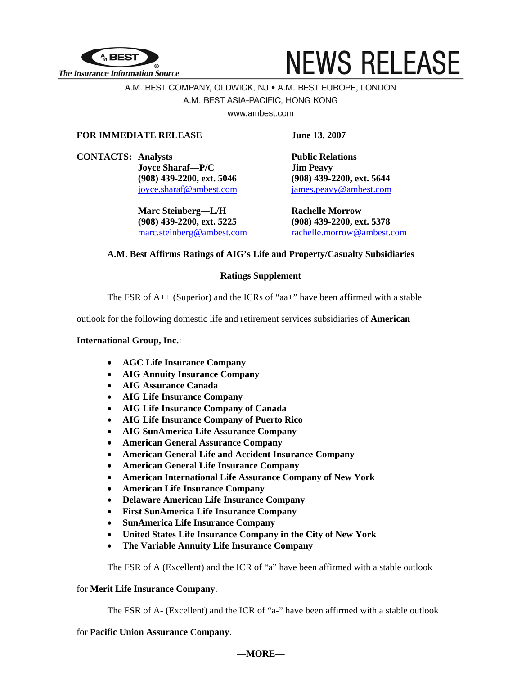

# **NEWS RELEASE**

# A.M. BEST COMPANY, OLDWICK, NJ · A.M. BEST EUROPE, LONDON A.M. BEST ASIA-PACIFIC, HONG KONG

www.ambest.com

# **FOR IMMEDIATE RELEASE** June 13, 2007

**CONTACTS:** Analysts **Public Relations Joyce Sharaf—P/C Jim Peavy** 

> **Marc Steinberg—L/H Rachelle Morrow (908) 439-2200, ext. 5225 (908) 439-2200, ext. 5378**

**(908) 439-2200, ext. 5046 (908) 439-2200, ext. 5644**  [joyce.sharaf@ambest.com](mailto:joyce.sharaf@ambest.com)[james.peavy@ambest.com](mailto:james.peavy@ambest.com)

[marc.steinberg@ambest.com](mailto:marc.steinberg@ambest.com) [rachelle.morrow@ambest.com](mailto:rachelle.morrow@ambest.com)

# **A.M. Best Affirms Ratings of AIG's Life and Property/Casualty Subsidiaries**

# **Ratings Supplement**

The FSR of  $A++$  (Superior) and the ICRs of "aa+" have been affirmed with a stable

outlook for the following domestic life and retirement services subsidiaries of **American** 

# **International Group, Inc.**:

- **AGC Life Insurance Company**
- **AIG Annuity Insurance Company**
- **AIG Assurance Canada**
- **AIG Life Insurance Company**
- **AIG Life Insurance Company of Canada**
- **AIG Life Insurance Company of Puerto Rico**
- **AIG SunAmerica Life Assurance Company**
- **American General Assurance Company**
- **American General Life and Accident Insurance Company**
- **American General Life Insurance Company**
- **American International Life Assurance Company of New York**
- **American Life Insurance Company**
- **Delaware American Life Insurance Company**
- **First SunAmerica Life Insurance Company**
- **SunAmerica Life Insurance Company**
- **United States Life Insurance Company in the City of New York**
- **The Variable Annuity Life Insurance Company**

The FSR of A (Excellent) and the ICR of "a" have been affirmed with a stable outlook

## for **Merit Life Insurance Company**.

The FSR of A- (Excellent) and the ICR of "a-" have been affirmed with a stable outlook

for **Pacific Union Assurance Company**.

## **—MORE—**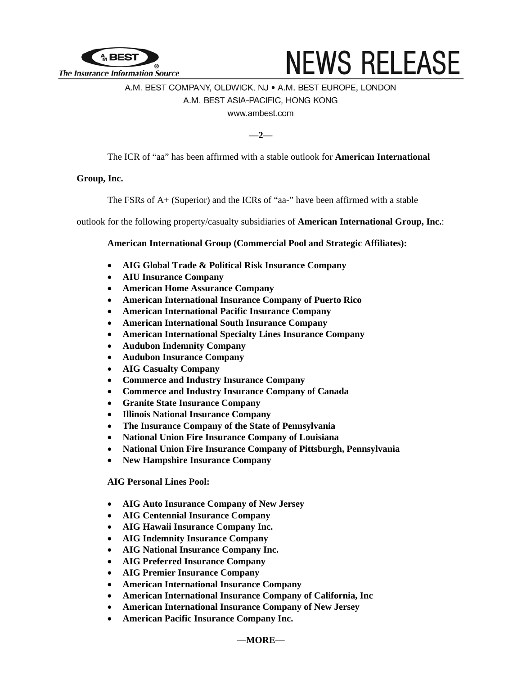

# **NEWS RELEASE**

# A.M. BEST COMPANY, OLDWICK, NJ · A.M. BEST EUROPE, LONDON A.M. BEST ASIA-PACIFIC, HONG KONG www.ambest.com

**—2—** 

The ICR of "aa" has been affirmed with a stable outlook for **American International** 

# **Group, Inc.**

The FSRs of A+ (Superior) and the ICRs of "aa-" have been affirmed with a stable

outlook for the following property/casualty subsidiaries of **American International Group, Inc.**:

## **American International Group (Commercial Pool and Strategic Affiliates):**

- **AIG Global Trade & Political Risk Insurance Company**
- **AIU Insurance Company**
- **American Home Assurance Company**
- **American International Insurance Company of Puerto Rico**
- **American International Pacific Insurance Company**
- **American International South Insurance Company**
- **American International Specialty Lines Insurance Company**
- **Audubon Indemnity Company**
- **Audubon Insurance Company**
- **AIG Casualty Company**
- **Commerce and Industry Insurance Company**
- **Commerce and Industry Insurance Company of Canada**
- **Granite State Insurance Company**
- **Illinois National Insurance Company**
- **The Insurance Company of the State of Pennsylvania**
- **National Union Fire Insurance Company of Louisiana**
- **National Union Fire Insurance Company of Pittsburgh, Pennsylvania**
- **New Hampshire Insurance Company**

#### **AIG Personal Lines Pool:**

- **AIG Auto Insurance Company of New Jersey**
- **AIG Centennial Insurance Company**
- **AIG Hawaii Insurance Company Inc.**
- **AIG Indemnity Insurance Company**
- **AIG National Insurance Company Inc.**
- **AIG Preferred Insurance Company**
- **AIG Premier Insurance Company**
- **American International Insurance Company**
- **American International Insurance Company of California, Inc**
- **American International Insurance Company of New Jersey**
- **American Pacific Insurance Company Inc.**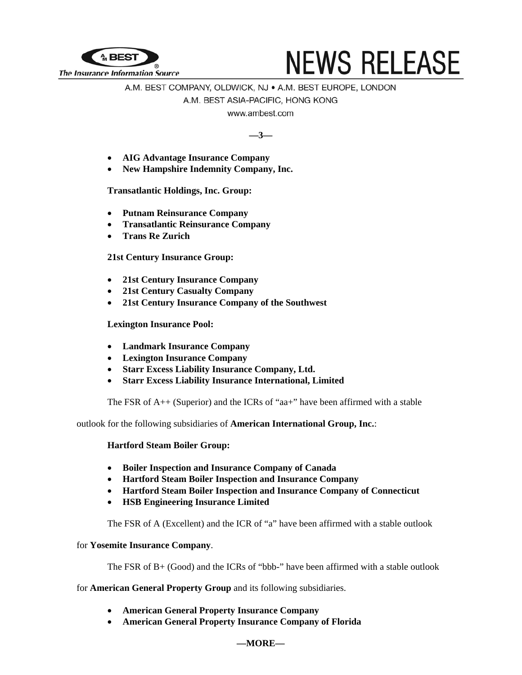

# **NEWS RELEASE**

# A.M. BEST COMPANY, OLDWICK, NJ · A.M. BEST EUROPE, LONDON A.M. BEST ASIA-PACIFIC, HONG KONG

www.ambest.com

**—3—** 

- **AIG Advantage Insurance Company**
- **New Hampshire Indemnity Company, Inc.**

**Transatlantic Holdings, Inc. Group:** 

- **Putnam Reinsurance Company**
- **Transatlantic Reinsurance Company**
- **Trans Re Zurich**

# **21st Century Insurance Group:**

- **21st Century Insurance Company**
- **21st Century Casualty Company**
- **21st Century Insurance Company of the Southwest**

## **Lexington Insurance Pool:**

- **Landmark Insurance Company**
- **Lexington Insurance Company**
- **Starr Excess Liability Insurance Company, Ltd.**
- **Starr Excess Liability Insurance International, Limited**

The FSR of  $A++$  (Superior) and the ICRs of "aa+" have been affirmed with a stable

outlook for the following subsidiaries of **American International Group, Inc.**:

## **Hartford Steam Boiler Group:**

- **Boiler Inspection and Insurance Company of Canada**
- **Hartford Steam Boiler Inspection and Insurance Company**
- **Hartford Steam Boiler Inspection and Insurance Company of Connecticut**
- **HSB Engineering Insurance Limited**

The FSR of A (Excellent) and the ICR of "a" have been affirmed with a stable outlook

## for **Yosemite Insurance Company**.

The FSR of B+ (Good) and the ICRs of "bbb-" have been affirmed with a stable outlook

for **American General Property Group** and its following subsidiaries.

- **American General Property Insurance Company**
- **American General Property Insurance Company of Florida**